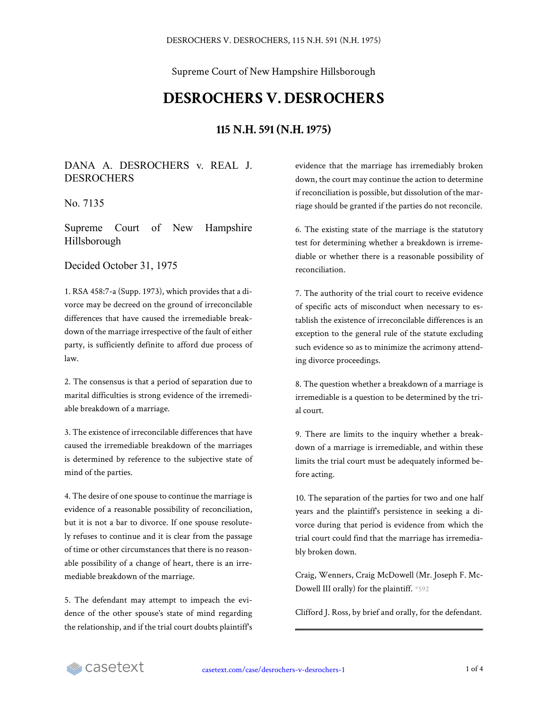Supreme Court of New Hampshire Hillsborough

# **DESROCHERS V. DESROCHERS**

## **115 N.H. 591 (N.H. 1975)**

## DANA A. DESROCHERS v. REAL J. **DESROCHERS**

No. 7135

Supreme Court of New Hampshire Hillsborough

#### Decided October 31, 1975

1. RSA 458:7-a (Supp. 1973), which provides that a divorce may be decreed on the ground of irreconcilable differences that have caused the irremediable breakdown of the marriage irrespective of the fault of either party, is sufficiently definite to afford due process of law.

2. The consensus is that a period of separation due to marital difficulties is strong evidence of the irremediable breakdown of a marriage.

3. The existence of irreconcilable differences that have caused the irremediable breakdown of the marriages is determined by reference to the subjective state of mind of the parties.

4. The desire of one spouse to continue the marriage is evidence of a reasonable possibility of reconciliation, but it is not a bar to divorce. If one spouse resolutely refuses to continue and it is clear from the passage of time or other circumstances that there is no reasonable possibility of a change of heart, there is an irremediable breakdown of the marriage.

5. The defendant may attempt to impeach the evidence of the other spouse's state of mind regarding the relationship, and if the trial court doubts plaintiff's evidence that the marriage has irremediably broken down, the court may continue the action to determine if reconciliation is possible, but dissolution of the marriage should be granted if the parties do not reconcile.

6. The existing state of the marriage is the statutory test for determining whether a breakdown is irremediable or whether there is a reasonable possibility of reconciliation.

7. The authority of the trial court to receive evidence of specific acts of misconduct when necessary to establish the existence of irreconcilable differences is an exception to the general rule of the statute excluding such evidence so as to minimize the acrimony attending divorce proceedings.

8. The question whether a breakdown of a marriage is irremediable is a question to be determined by the trial court.

9. There are limits to the inquiry whether a breakdown of a marriage is irremediable, and within these limits the trial court must be adequately informed before acting.

10. The separation of the parties for two and one half years and the plaintiff's persistence in seeking a divorce during that period is evidence from which the trial court could find that the marriage has irremediably broken down.

Craig, Wenners, Craig McDowell (Mr. Joseph F. Mc-Dowell III orally) for the plaintiff. \*592

Clifford J. Ross, by brief and orally, for the defendant.

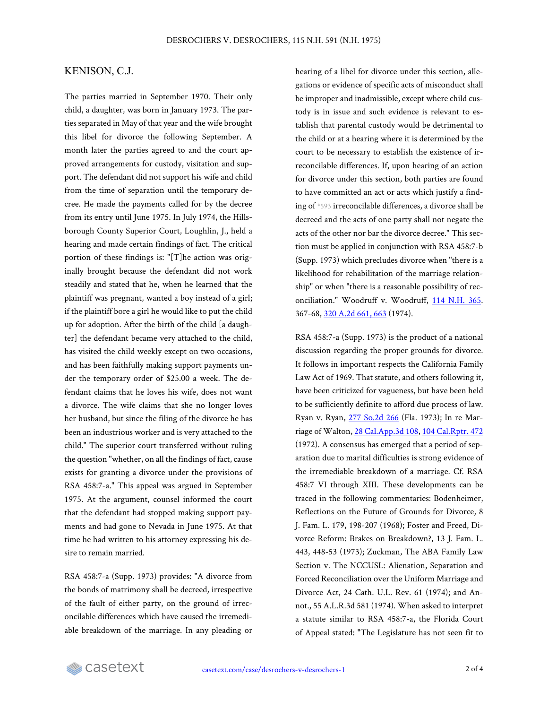#### KENISON, C.J.

The parties married in September 1970. Their only child, a daughter, was born in January 1973. The parties separated in May of that year and the wife brought this libel for divorce the following September. A month later the parties agreed to and the court approved arrangements for custody, visitation and support. The defendant did not support his wife and child from the time of separation until the temporary decree. He made the payments called for by the decree from its entry until June 1975. In July 1974, the Hillsborough County Superior Court, Loughlin, J., held a hearing and made certain findings of fact. The critical portion of these findings is: "[T]he action was originally brought because the defendant did not work steadily and stated that he, when he learned that the plaintiff was pregnant, wanted a boy instead of a girl; if the plaintiff bore a girl he would like to put the child up for adoption. After the birth of the child [a daughter] the defendant became very attached to the child, has visited the child weekly except on two occasions, and has been faithfully making support payments under the temporary order of \$25.00 a week. The defendant claims that he loves his wife, does not want a divorce. The wife claims that she no longer loves her husband, but since the filing of the divorce he has been an industrious worker and is very attached to the child." The superior court transferred without ruling the question "whether, on all the findings of fact, cause exists for granting a divorce under the provisions of RSA 458:7-a." This appeal was argued in September 1975. At the argument, counsel informed the court that the defendant had stopped making support payments and had gone to Nevada in June 1975. At that time he had written to his attorney expressing his desire to remain married.

RSA 458:7-a (Supp. 1973) provides: "A divorce from the bonds of matrimony shall be decreed, irrespective of the fault of either party, on the ground of irreconcilable differences which have caused the irremediable breakdown of the marriage. In any pleading or hearing of a libel for divorce under this section, allegations or evidence of specific acts of misconduct shall be improper and inadmissible, except where child custody is in issue and such evidence is relevant to establish that parental custody would be detrimental to the child or at a hearing where it is determined by the court to be necessary to establish the existence of irreconcilable differences. If, upon hearing of an action for divorce under this section, both parties are found to have committed an act or acts which justify a finding of \*593 irreconcilable differences, a divorce shall be decreed and the acts of one party shall not negate the acts of the other nor bar the divorce decree." This section must be applied in conjunction with RSA 458:7-b (Supp. 1973) which precludes divorce when "there is a likelihood for rehabilitation of the marriage relationship" or when "there is a reasonable possibility of reconciliation." Woodruff v. Woodruff, 114 [N.H.](https://casetext.com/case/woodruff-v-woodruff-13) 365. 367-68, [320 A.2d 661, 663](https://casetext.com/case/woodruff-v-woodruff-13#p663) (1974).

RSA 458:7-a (Supp. 1973) is the product of a national discussion regarding the proper grounds for divorce. It follows in important respects the California Family Law Act of 1969. That statute, and others following it, have been criticized for vagueness, but have been held to be sufficiently definite to afford due process of law. Ryan v. Ryan, 277 [So.2d](https://casetext.com/case/ryan-v-ryan-49) 266 (Fla. 1973); In re Marriage of Walton, 28 [Cal.App.3d](https://casetext.com/case/in-re-marriage-of-walton) 108, 104 [Cal.Rptr.](https://casetext.com/case/in-re-marriage-of-walton) 472 (1972). A consensus has emerged that a period of separation due to marital difficulties is strong evidence of the irremediable breakdown of a marriage. Cf. RSA 458:7 VI through XIII. These developments can be traced in the following commentaries: Bodenheimer, Reflections on the Future of Grounds for Divorce, 8 J. Fam. L. 179, 198-207 (1968); Foster and Freed, Divorce Reform: Brakes on Breakdown?, 13 J. Fam. L. 443, 448-53 (1973); Zuckman, The ABA Family Law Section v. The NCCUSL: Alienation, Separation and Forced Reconciliation over the Uniform Marriage and Divorce Act, 24 Cath. U.L. Rev. 61 (1974); and Annot., 55 A.L.R.3d 581 (1974). When asked to interpret a statute similar to RSA 458:7-a, the Florida Court of Appeal stated: "The Legislature has not seen fit to

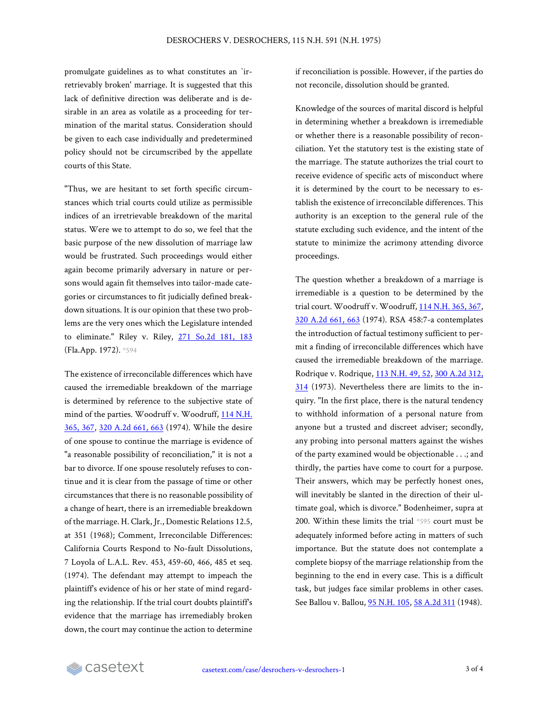promulgate guidelines as to what constitutes an `irretrievably broken' marriage. It is suggested that this lack of definitive direction was deliberate and is desirable in an area as volatile as a proceeding for termination of the marital status. Consideration should be given to each case individually and predetermined policy should not be circumscribed by the appellate courts of this State.

"Thus, we are hesitant to set forth specific circumstances which trial courts could utilize as permissible indices of an irretrievable breakdown of the marital status. Were we to attempt to do so, we feel that the basic purpose of the new dissolution of marriage law would be frustrated. Such proceedings would either again become primarily adversary in nature or persons would again fit themselves into tailor-made categories or circumstances to fit judicially defined breakdown situations. It is our opinion that these two problems are the very ones which the Legislature intended to eliminate." Riley v. Riley, 271 [So.2d](https://casetext.com/case/riley-v-riley-16#p183) 181, 183 (Fla.App. 1972). \*594

The existence of irreconcilable differences which have caused the irremediable breakdown of the marriage is determined by reference to the subjective state of mind of the parties. Woodruff v. Woodruff, 114 [N.H.](https://casetext.com/case/woodruff-v-woodruff-13#p367) [365,](https://casetext.com/case/woodruff-v-woodruff-13#p367) 367, 320 [A.2d](https://casetext.com/case/woodruff-v-woodruff-13#p663) 661, 663 (1974). While the desire of one spouse to continue the marriage is evidence of "a reasonable possibility of reconciliation," it is not a bar to divorce. If one spouse resolutely refuses to continue and it is clear from the passage of time or other circumstances that there is no reasonable possibility of a change of heart, there is an irremediable breakdown of the marriage. H. Clark, Jr., Domestic Relations 12.5, at 351 (1968); Comment, Irreconcilable Differences: California Courts Respond to No-fault Dissolutions, 7 Loyola of L.A.L. Rev. 453, 459-60, 466, 485 et seq. (1974). The defendant may attempt to impeach the plaintiff's evidence of his or her state of mind regarding the relationship. If the trial court doubts plaintiff's evidence that the marriage has irremediably broken down, the court may continue the action to determine

if reconciliation is possible. However, if the parties do not reconcile, dissolution should be granted.

Knowledge of the sources of marital discord is helpful in determining whether a breakdown is irremediable or whether there is a reasonable possibility of reconciliation. Yet the statutory test is the existing state of the marriage. The statute authorizes the trial court to receive evidence of specific acts of misconduct where it is determined by the court to be necessary to establish the existence of irreconcilable differences. This authority is an exception to the general rule of the statute excluding such evidence, and the intent of the statute to minimize the acrimony attending divorce proceedings.

The question whether a breakdown of a marriage is irremediable is a question to be determined by the trial court. Woodruff v. Woodruff, 114 [N.H.](https://casetext.com/case/woodruff-v-woodruff-13#p367) 365, 367, 320 [A.2d](https://casetext.com/case/woodruff-v-woodruff-13#p663) 661, 663 (1974). RSA 458:7-a contemplates the introduction of factual testimony sufficient to permit a finding of irreconcilable differences which have caused the irremediable breakdown of the marriage. Rodrique v. Rodrique, 113 [N.H.](https://casetext.com/case/rodrique-v-rodrique-1#p52) 49, 52, 300 [A.2d](https://casetext.com/case/rodrique-v-rodrique-1#p314) 312, [314](https://casetext.com/case/rodrique-v-rodrique-1#p314) (1973). Nevertheless there are limits to the inquiry. "In the first place, there is the natural tendency to withhold information of a personal nature from anyone but a trusted and discreet adviser; secondly, any probing into personal matters against the wishes of the party examined would be objectionable . . .; and thirdly, the parties have come to court for a purpose. Their answers, which may be perfectly honest ones, will inevitably be slanted in the direction of their ultimate goal, which is divorce." Bodenheimer, supra at 200. Within these limits the trial \*595 court must be adequately informed before acting in matters of such importance. But the statute does not contemplate a complete biopsy of the marriage relationship from the beginning to the end in every case. This is a difficult task, but judges face similar problems in other cases. See Ballou v. Ballou, [95 N.H. 105,](https://casetext.com/case/ballou-v-ballou-1) [58 A.2d 311](https://casetext.com/case/ballou-v-ballou-1) (1948).